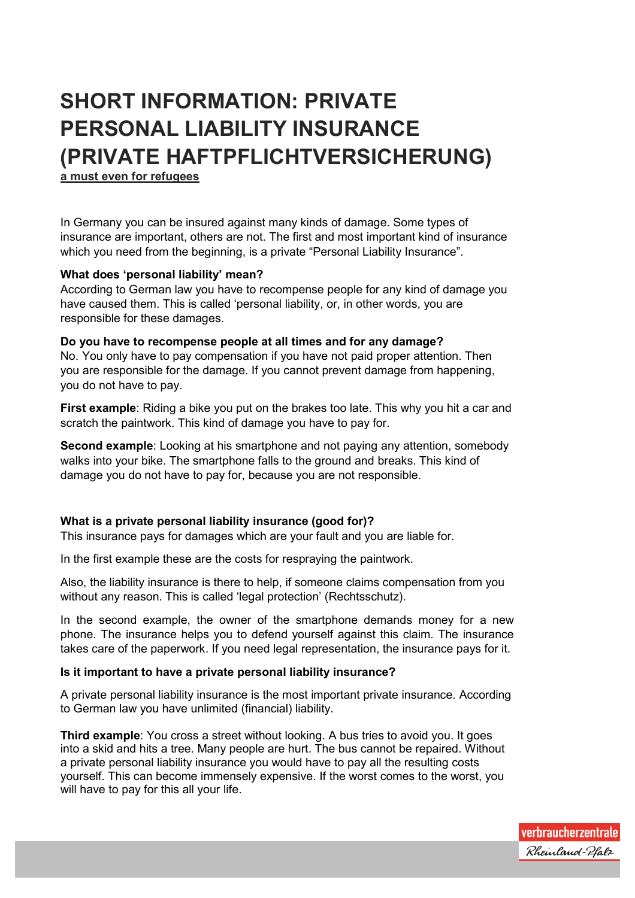# **SHORT INFORMATION: PRIVATE PERSONAL LIABILITY INSURANCE (PRIVATE HAFTPFLICHTVERSICHERUNG)**

**a must even for refugees**

In Germany you can be insured against many kinds of damage. Some types of insurance are important, others are not. The first and most important kind of insurance which you need from the beginning, is a private "Personal Liability Insurance".

# **What does 'personal liability' mean?**

According to German law you have to recompense people for any kind of damage you have caused them. This is called 'personal liability, or, in other words, you are responsible for these damages.

## **Do you have to recompense people at all times and for any damage?**

No. You only have to pay compensation if you have not paid proper attention. Then you are responsible for the damage. If you cannot prevent damage from happening, you do not have to pay.

**First example**: Riding a bike you put on the brakes too late. This why you hit a car and scratch the paintwork. This kind of damage you have to pay for.

**Second example**: Looking at his smartphone and not paying any attention, somebody walks into your bike. The smartphone falls to the ground and breaks. This kind of damage you do not have to pay for, because you are not responsible.

## **What is a private personal liability insurance (good for)?**

This insurance pays for damages which are your fault and you are liable for.

In the first example these are the costs for respraying the paintwork.

Also, the liability insurance is there to help, if someone claims compensation from you without any reason. This is called 'legal protection' (Rechtsschutz).

In the second example, the owner of the smartphone demands money for a new phone. The insurance helps you to defend yourself against this claim. The insurance takes care of the paperwork. If you need legal representation, the insurance pays for it.

# **Is it important to have a private personal liability insurance?**

A private personal liability insurance is the most important private insurance. According to German law you have unlimited (financial) liability.

**Third example**: You cross a street without looking. A bus tries to avoid you. It goes into a skid and hits a tree. Many people are hurt. The bus cannot be repaired. Without a private personal liability insurance you would have to pay all the resulting costs yourself. This can become immensely expensive. If the worst comes to the worst, you will have to pay for this all your life.